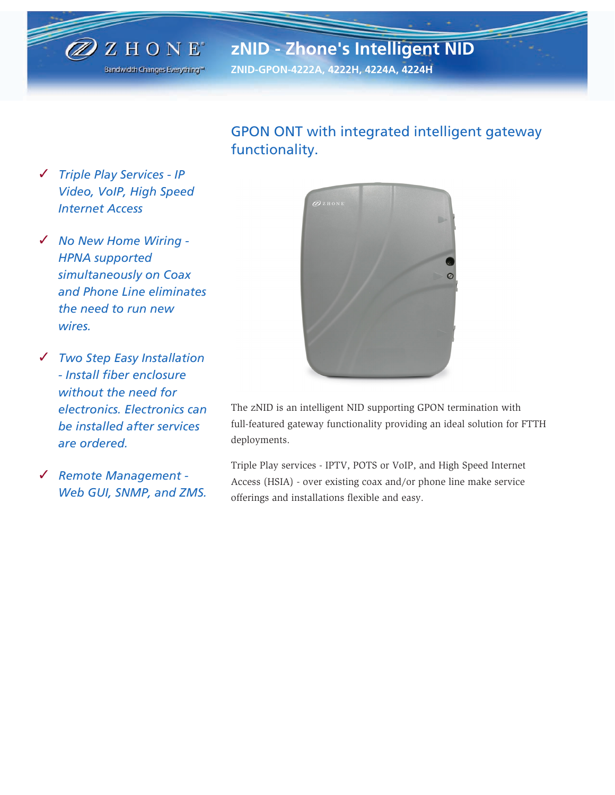

# **zNID - Zhone's Intelligent NID**

**ZNID-GPON-4222A, 4222H, 4224A, 4224H**

## GPON ONT with integrated intelligent gateway functionality.

- ✓ *Triple Play Services IP Video, VoIP, High Speed Internet Access*
- ✓ *No New Home Wiring - HPNA supported simultaneously on Coax and Phone Line eliminates the need to run new wires.*
- ✓ *Two Step Easy Installation - Install fiber enclosure without the need for electronics. Electronics can be installed after services are ordered.*
- ✓ *Remote Management - Web GUI, SNMP, and ZMS.*



The zNID is an intelligent NID supporting GPON termination with full-featured gateway functionality providing an ideal solution for FTTH deployments.

Triple Play services - IPTV, POTS or VoIP, and High Speed Internet Access (HSIA) - over existing coax and/or phone line make service offerings and installations flexible and easy.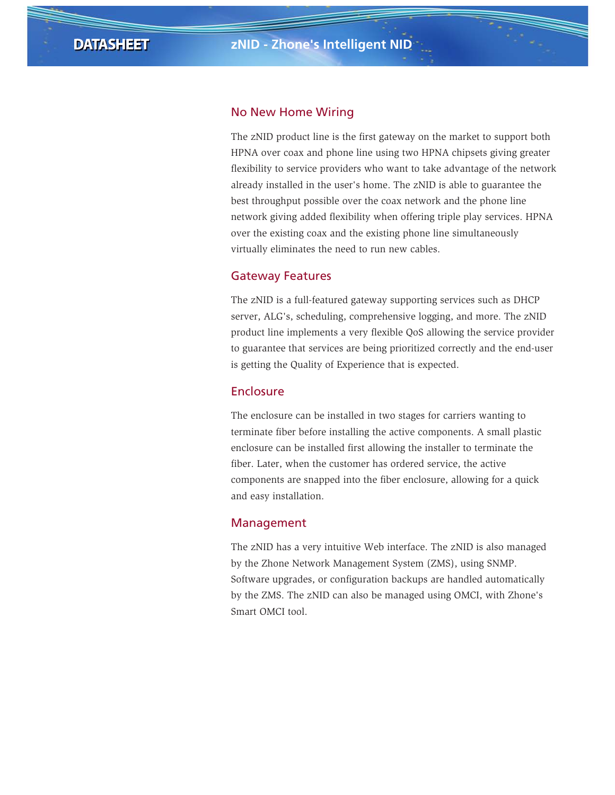## No New Home Wiring

The zNID product line is the first gateway on the market to support both HPNA over coax and phone line using two HPNA chipsets giving greater flexibility to service providers who want to take advantage of the network already installed in the user's home. The zNID is able to guarantee the best throughput possible over the coax network and the phone line network giving added flexibility when offering triple play services. HPNA over the existing coax and the existing phone line simultaneously virtually eliminates the need to run new cables.

## Gateway Features

The zNID is a full-featured gateway supporting services such as DHCP server, ALG's, scheduling, comprehensive logging, and more. The zNID product line implements a very flexible QoS allowing the service provider to guarantee that services are being prioritized correctly and the end-user is getting the Quality of Experience that is expected.

## Enclosure

The enclosure can be installed in two stages for carriers wanting to terminate fiber before installing the active components. A small plastic enclosure can be installed first allowing the installer to terminate the fiber. Later, when the customer has ordered service, the active components are snapped into the fiber enclosure, allowing for a quick and easy installation.

### Management

The zNID has a very intuitive Web interface. The zNID is also managed by the Zhone Network Management System (ZMS), using SNMP. Software upgrades, or configuration backups are handled automatically by the ZMS. The zNID can also be managed using OMCI, with Zhone's Smart OMCI tool.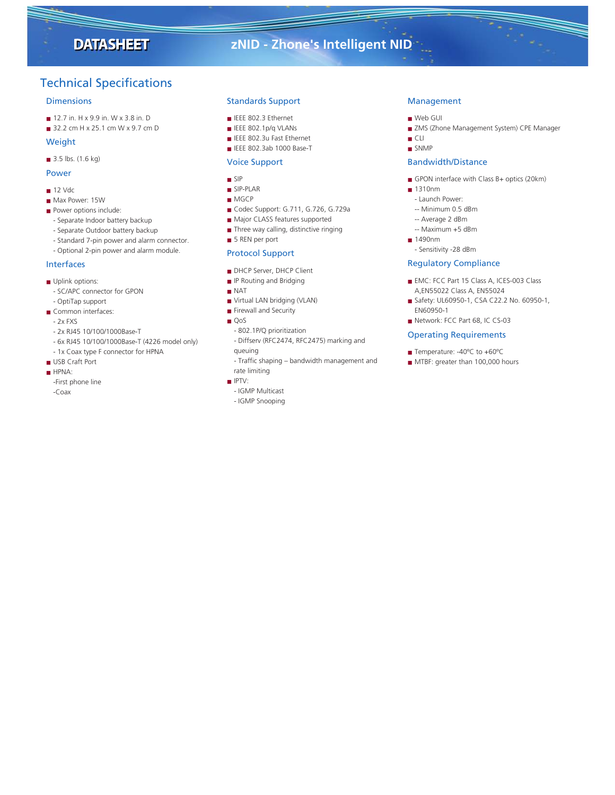## **DATASHEET**

## **zNID - Zhone's Intelligent NID**

## Technical Specifications

#### **Dimensions**

- 12.7 in. H x 9.9 in. W x 3.8 in. D
- 32.2 cm H x 25.1 cm W x 9.7 cm D

#### Weight

■ 3.5 lbs. (1.6 kg)

#### Power

- 12 Vdc
- Max Power: 15W
- Power options include:
- Separate Indoor battery backup
- Separate Outdoor battery backup
- Standard 7-pin power and alarm connector.
- Optional 2-pin power and alarm module.

#### Interfaces

- Uplink options:
- SC/APC connector for GPON
- OptiTap support ■ Common interfaces:
- 2x FXS
- 
- 2x RJ45 10/100/1000Base-T
- 6x RJ45 10/100/1000Base-T (4226 model only)
- 1x Coax type F connector for HPNA
- USB Craft Port
- HPNA:
- -First phone line -Coax

#### Standards Support

- IEEE 802.3 Ethernet
- IEEE 802.1p/q VLANs
- IEEE 802.3u Fast Ethernet
- IEEE 802.3ab 1000 Base-T

#### Voice Support

- SIP
- SIP-PLAR
- MGCP
- Codec Support: G.711, G.726, G.729a
- Major CLASS features supported
- Three way calling, distinctive ringing
- 5 REN per port

#### Protocol Support

- DHCP Server, DHCP Client
- IP Routing and Bridging
- NAT
- Virtual LAN bridging (VLAN)
- Firewall and Security
- QoS
- 802.1P/Q prioritization
- Diffserv (RFC2474, RFC2475) marking and queuing
- Traffic shaping bandwidth management and rate limiting
- IPTV:
- IGMP Multicast
- IGMP Snooping

### Management

- Web GUI
- ZMS (Zhone Management System) CPE Manager
- CLI
- SNMP

#### Bandwidth/Distance

- GPON interface with Class B+ optics (20km)
- 1310nm
- Launch Power:
- -- Minimum 0.5 dBm
- -- Average 2 dBm
- -- Maximum +5 dBm
- 1490nm
- Sensitivity -28 dBm

#### Regulatory Compliance

- EMC: FCC Part 15 Class A, ICES-003 Class A,EN55022 Class A, EN55024
- Safety: UL60950-1, CSA C22.2 No. 60950-1, EN60950-1
- Network: FCC Part 68, IC CS-03

#### Operating Requirements

- Temperature: -40°C to +60°C
- MTBF: greater than 100,000 hours